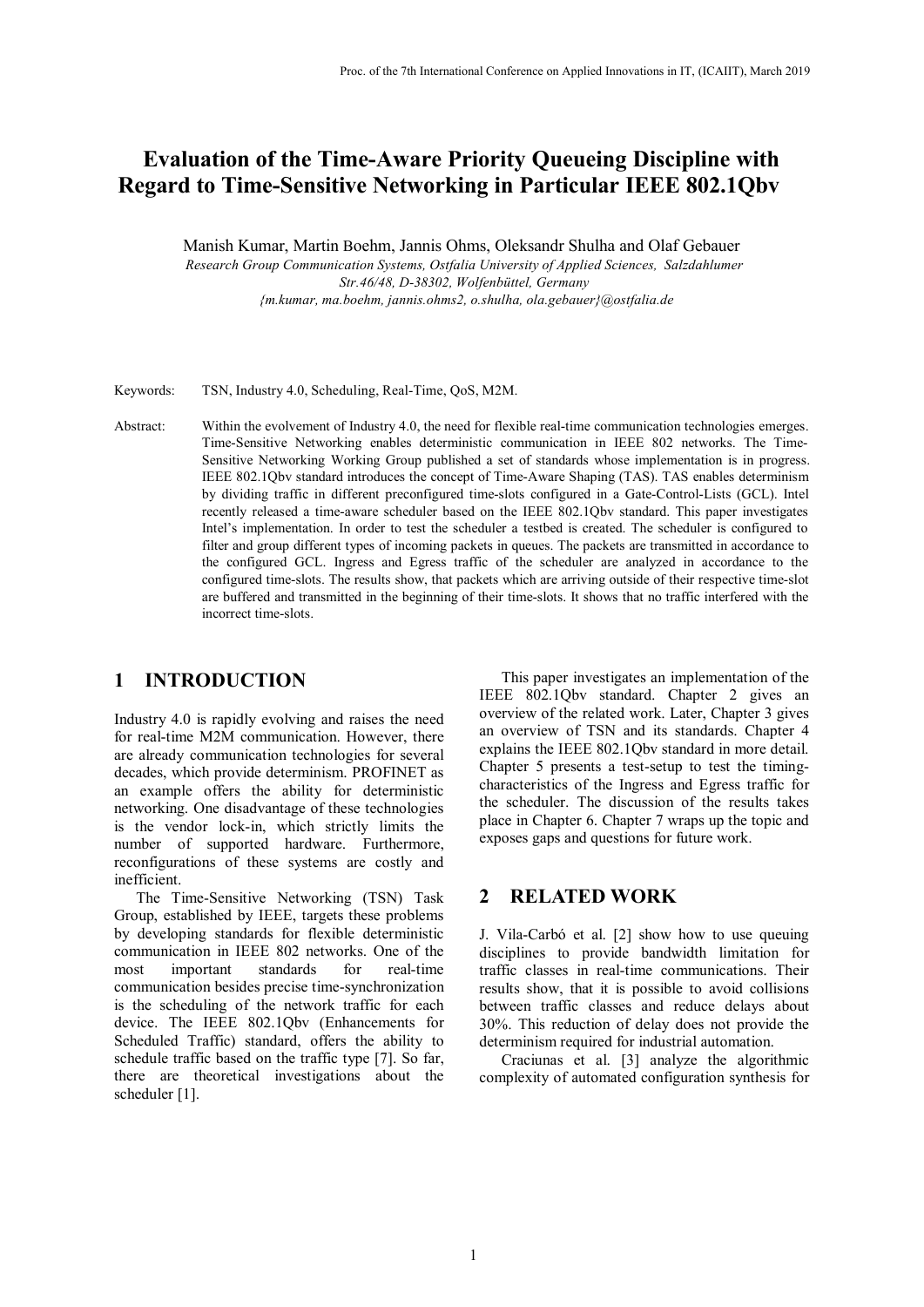# **Evaluation of the Time-Aware Priority Queueing Discipline with Regard to Time-Sensitive Networking in Particular IEEE 802.1Qbv**

Manish Kumar, Martin Boehm, Jannis Ohms, Oleksandr Shulha and Olaf Gebauer

*Research Group Communication Systems, Ostfalia University of Applied Sciences, Salzdahlumer Str.46/48, D-38302, Wolfenbüttel, Germany {m.kumar, ma.boehm, jannis.ohms2, o.shulha, ola.gebauer}@ostfalia.de* 

Keywords: TSN, Industry 4.0, Scheduling, Real-Time, QoS, M2M.

Abstract: Within the evolvement of Industry 4.0, the need for flexible real-time communication technologies emerges. Time-Sensitive Networking enables deterministic communication in IEEE 802 networks. The Time-Sensitive Networking Working Group published a set of standards whose implementation is in progress. IEEE 802.1Qbv standard introduces the concept of Time-Aware Shaping (TAS). TAS enables determinism by dividing traffic in different preconfigured time-slots configured in a Gate-Control-Lists (GCL). Intel recently released a time-aware scheduler based on the IEEE 802.1Qbv standard. This paper investigates Intel's implementation. In order to test the scheduler a testbed is created. The scheduler is configured to filter and group different types of incoming packets in queues. The packets are transmitted in accordance to the configured GCL. Ingress and Egress traffic of the scheduler are analyzed in accordance to the configured time-slots. The results show, that packets which are arriving outside of their respective time-slot are buffered and transmitted in the beginning of their time-slots. It shows that no traffic interfered with the incorrect time-slots.

#### **1 INTRODUCTION**

Industry 4.0 is rapidly evolving and raises the need for real-time M2M communication. However, there are already communication technologies for several decades, which provide determinism. PROFINET as an example offers the ability for deterministic networking. One disadvantage of these technologies is the vendor lock-in, which strictly limits the number of supported hardware. Furthermore, reconfigurations of these systems are costly and inefficient.

The Time-Sensitive Networking (TSN) Task Group, established by IEEE, targets these problems by developing standards for flexible deterministic communication in IEEE 802 networks. One of the most important standards for real-time communication besides precise time-synchronization is the scheduling of the network traffic for each device. The IEEE 802.1Qbv (Enhancements for Scheduled Traffic) standard, offers the ability to schedule traffic based on the traffic type [7]. So far, there are theoretical investigations about the scheduler [1].

This paper investigates an implementation of the IEEE 802.1Qbv standard. Chapter 2 gives an overview of the related work. Later, Chapter 3 gives an overview of TSN and its standards. Chapter 4 explains the IEEE 802.1Qbv standard in more detail. Chapter 5 presents a test-setup to test the timingcharacteristics of the Ingress and Egress traffic for the scheduler. The discussion of the results takes place in Chapter 6. Chapter 7 wraps up the topic and exposes gaps and questions for future work.

### **2 RELATED WORK**

J. Vila-Carbó et al. [2] show how to use queuing disciplines to provide bandwidth limitation for traffic classes in real-time communications. Their results show, that it is possible to avoid collisions between traffic classes and reduce delays about 30%. This reduction of delay does not provide the determinism required for industrial automation.

Craciunas et al. [\[3\]](#page--1-0) analyze the algorithmic complexity of automated configuration synthesis for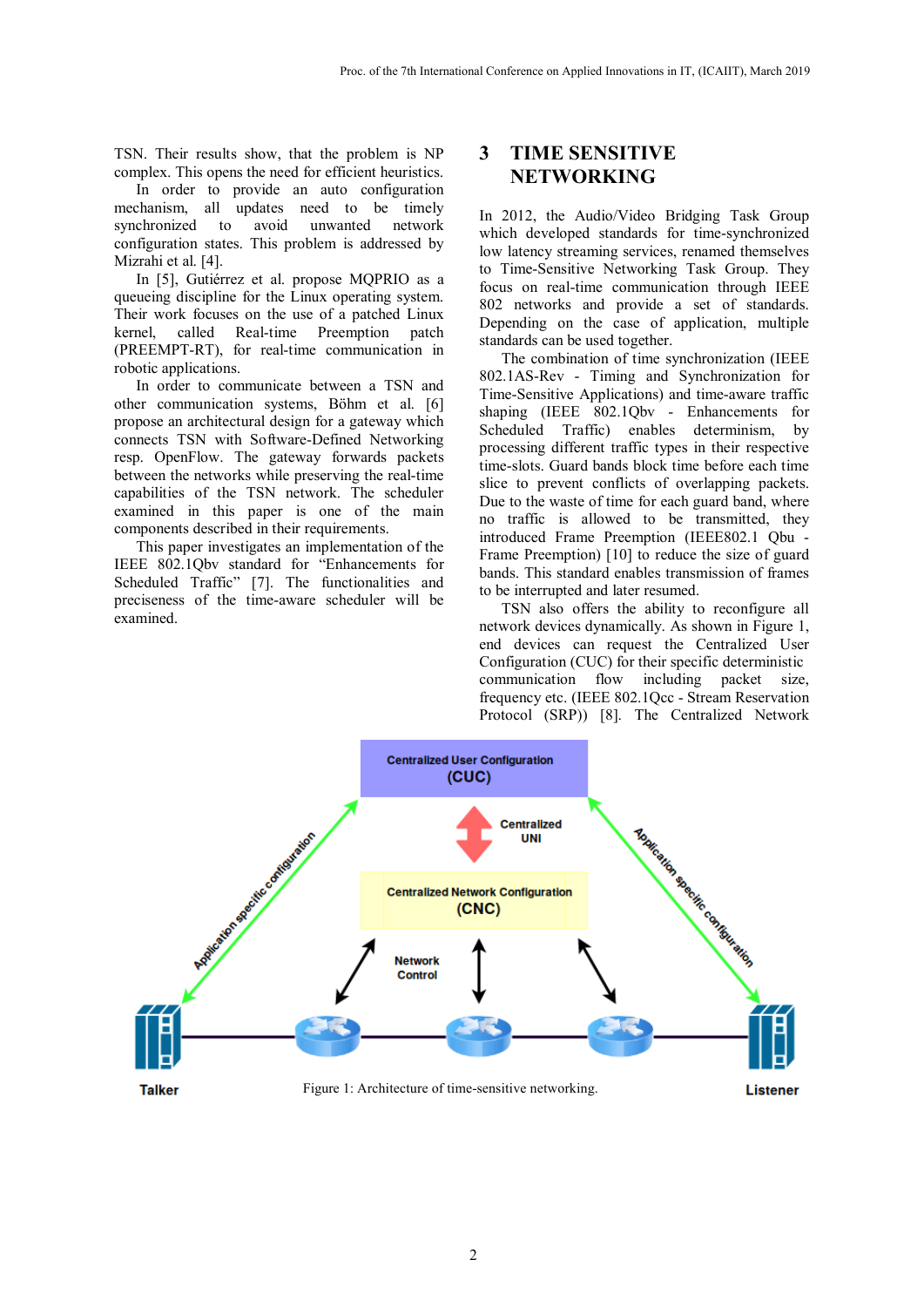TSN. Their results show, that the problem is NP complex. This opens the need for efficient heuristics.

In order to provide an auto configuration mechanism, all updates need to be timely synchronized to avoid unwanted network configuration states. This problem is addressed by Mizrahi et al. [\[4\].](#page--1-1) 

In [\[5\],](#page--1-2) Gutiérrez et al. propose MQPRIO as a queueing discipline for the Linux operating system. Their work focuses on the use of a patched Linux kernel, called Real-time Preemption patch (PREEMPT-RT), for real-time communication in robotic applications.

In order to communicate between a TSN and other communication systems, Böhm et al. [6] propose an architectural design for a gateway which connects TSN with Software-Defined Networking resp. OpenFlow. The gateway forwards packets between the networks while preserving the real-time capabilities of the TSN network. The scheduler examined in this paper is one of the main components described in their requirements.

This paper investigates an implementation of the IEEE 802.1Qbv standard for "Enhancements for Scheduled Traffic" [\[7\].](#page--1-3) The functionalities and preciseness of the time-aware scheduler will be examined.

## **3 TIME SENSITIVE NETWORKING**

In 2012, the Audio/Video Bridging Task Group which developed standards for time-synchronized low latency streaming services, renamed themselves to Time-Sensitive Networking Task Group. They focus on real-time communication through IEEE 802 networks and provide a set of standards. Depending on the case of application, multiple standards can be used together.

The combination of time synchronization (IEEE 802.1AS-Rev - Timing and Synchronization for Time-Sensitive Applications) and time-aware traffic shaping (IEEE 802.1Qbv - Enhancements for Scheduled Traffic) enables determinism, by processing different traffic types in their respective time-slots. Guard bands block time before each time slice to prevent conflicts of overlapping packets. Due to the waste of time for each guard band, where no traffic is allowed to be transmitted, they introduced Frame Preemption (IEEE802.1 Qbu - Frame Preemption) [10] to reduce the size of guard bands. This standard enables transmission of frames to be interrupted and later resumed.

TSN also offers the ability to reconfigure all network devices dynamically. As shown in [Figure 1,](#page-1-0) end devices can request the Centralized User Configuration (CUC) for their specific deterministic communication flow including packet size, frequency etc. (IEEE 802.1Qcc - Stream Reservation Protocol (SRP)) [8]. The Centralized Network

<span id="page-1-0"></span>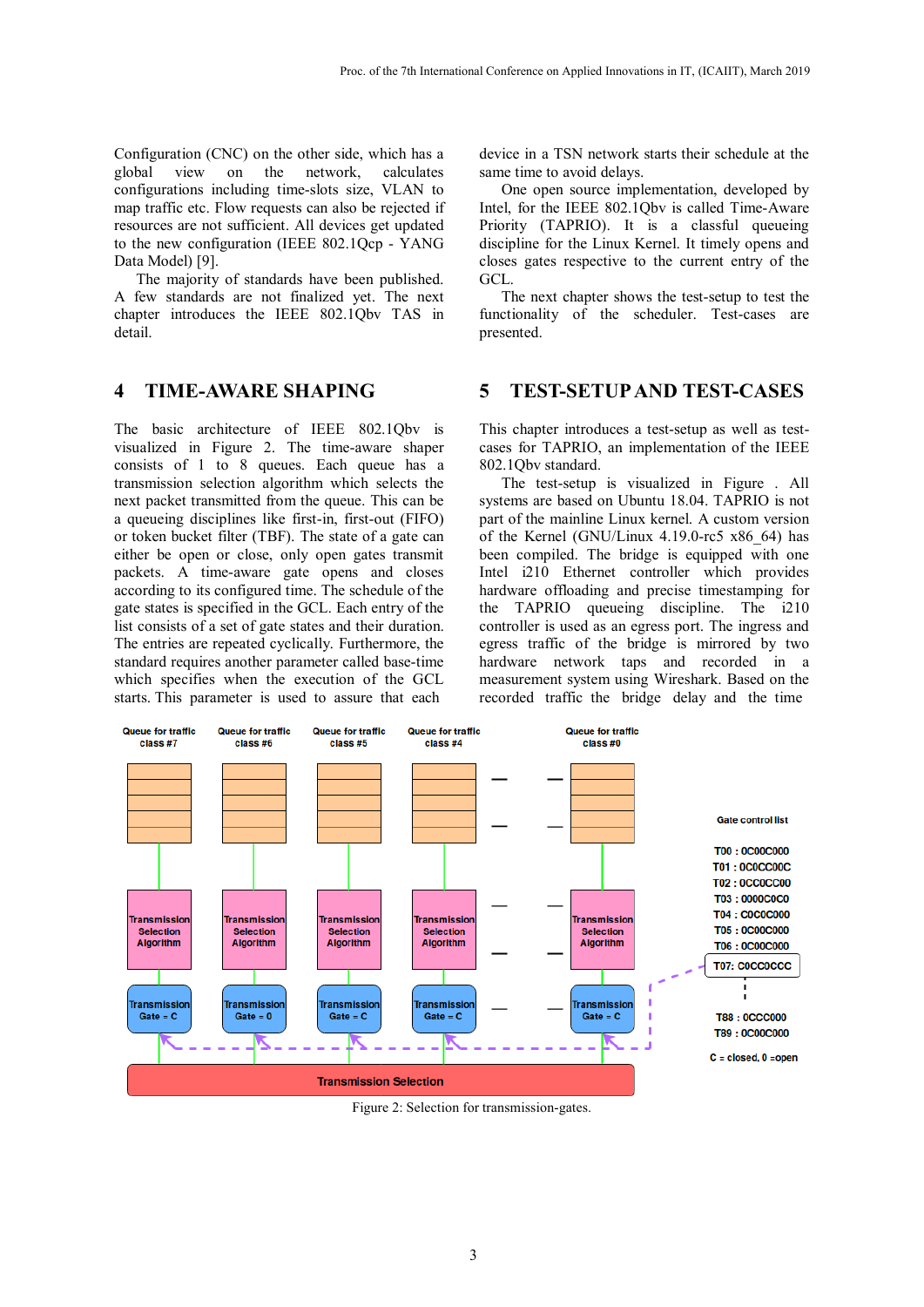Configuration (CNC) on the other side, which has a global view on the network, calculates configurations including time-slots size, VLAN to map traffic etc. Flow requests can also be rejected if resources are not sufficient. All devices get updated to the new configuration (IEEE 802.1Qcp - YANG Data Model) [9].

The majority of standards have been published. A few standards are not finalized yet. The next chapter introduces the IEEE 802.1Qbv TAS in detail.

#### **4 TIME-AWARE SHAPING**

The basic architecture of IEEE 802.1Qbv is visualized in [Figure 2.](#page-2-0) The time-aware shaper consists of 1 to 8 queues. Each queue has a transmission selection algorithm which selects the next packet transmitted from the queue. This can be a queueing disciplines like first-in, first-out (FIFO) or token bucket filter (TBF). The state of a gate can either be open or close, only open gates transmit packets. A time-aware gate opens and closes according to its configured time. The schedule of the gate states is specified in the GCL. Each entry of the list consists of a set of gate states and their duration. The entries are repeated cyclically. Furthermore, the standard requires another parameter called base-time which specifies when the execution of the GCL starts. This parameter is used to assure that each

device in a TSN network starts their schedule at the same time to avoid delays.

One open source implementation, developed by Intel, for the IEEE 802.1Qbv is called Time-Aware Priority (TAPRIO). It is a classful queueing discipline for the Linux Kernel. It timely opens and closes gates respective to the current entry of the GCL.

The next chapter shows the test-setup to test the functionality of the scheduler. Test-cases are presented.

#### **5 TEST-SETUP AND TEST-CASES**

This chapter introduces a test-setup as well as testcases for TAPRIO, an implementation of the IEEE 802.1Qbv standard.

The test-setup is visualized in [Figure .](#page--1-4) All systems are based on Ubuntu 18.04. TAPRIO is not part of the mainline Linux kernel. A custom version of the Kernel (GNU/Linux 4.19.0-rc5 x86\_64) has been compiled. The bridge is equipped with one Intel i210 Ethernet controller which provides hardware offloading and precise timestamping for the TAPRIO queueing discipline. The i210 controller is used as an egress port. The ingress and egress traffic of the bridge is mirrored by two hardware network taps and recorded in a measurement system using Wireshark. Based on the recorded traffic the bridge delay and the time



<span id="page-2-0"></span>Figure 2: Selection for transmission-gates.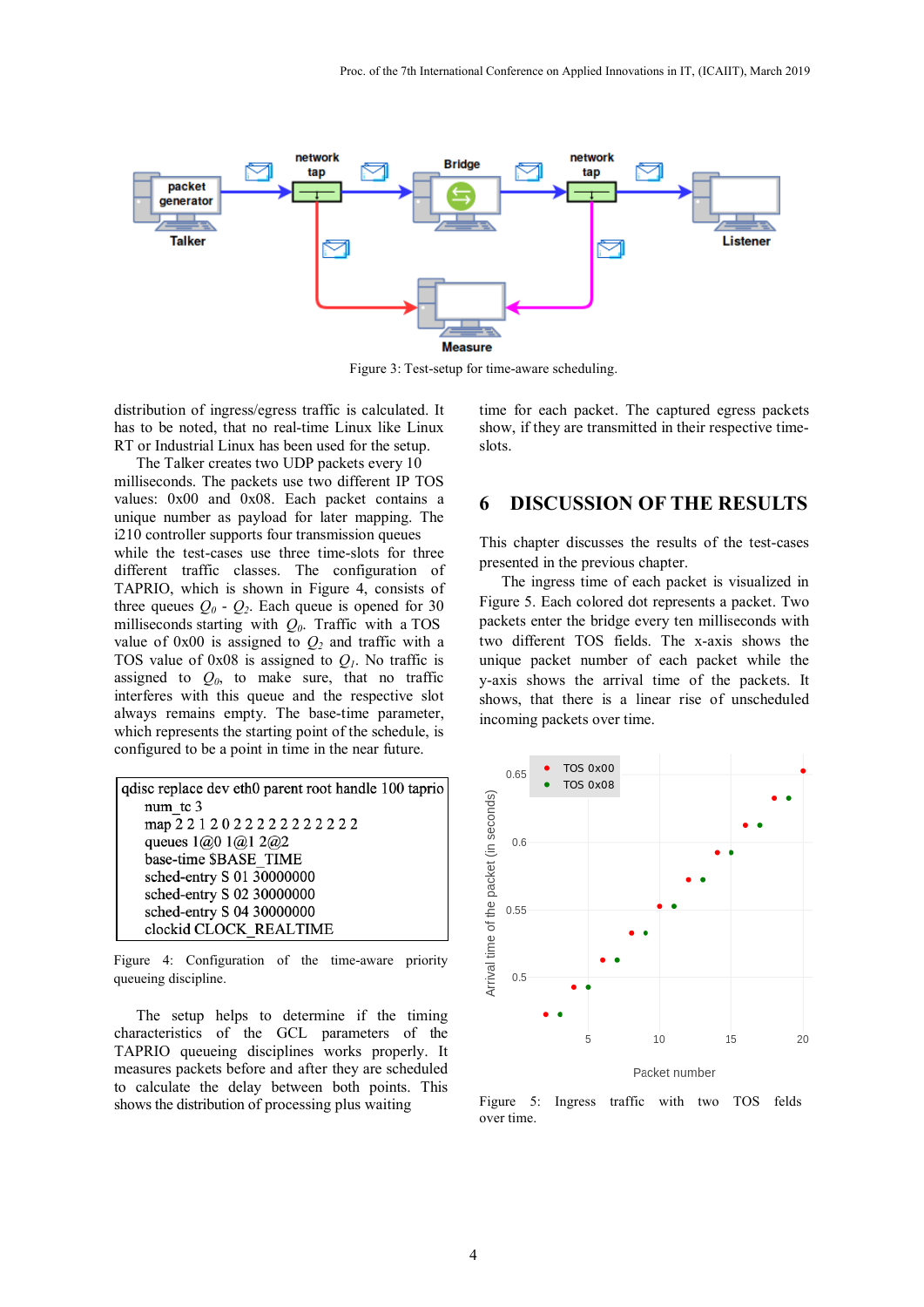

Figure 3: Test-setup for time-aware scheduling.

distribution of ingress/egress traffic is calculated. It has to be noted, that no real-time Linux like Linux RT or Industrial Linux has been used for the setup.

The Talker creates two UDP packets every 10 milliseconds. The packets use two different IP TOS values: 0x00 and 0x08. Each packet contains a unique number as payload for later mapping. The i210 controller supports four transmission queues while the test-cases use three time-slots for three different traffic classes. The configuration of TAPRIO, which is shown in Figure 4, consists of three queues  $Q_0$  -  $Q_2$ . Each queue is opened for 30 milliseconds starting with *Q0*. Traffic with a TOS value of  $0x00$  is assigned to  $Q_2$  and traffic with a TOS value of  $0x08$  is assigned to  $Q<sub>l</sub>$ . No traffic is assigned to  $Q_0$ , to make sure, that no traffic interferes with this queue and the respective slot always remains empty. The base-time parameter, which represents the starting point of the schedule, is configured to be a point in time in the near future.

| qualisc replace dev eth0 parent root handle 100 taprio |
|--------------------------------------------------------|
| num tc 3                                               |
| map 2 2 1 2 0 2 2 2 2 2 2 2 2 2 2 2 2                  |
| queues $1(0,0)$ $1(0,1)$ $2(0,2)$                      |
| base-time \$BASE TIME                                  |
| sched-entry S 01 30000000                              |
| sched-entry S 02 30000000                              |
| sched-entry S 04 30000000                              |
| clockid CLOCK REALTIME                                 |

Figure 4: Configuration of the time-aware priority queueing discipline.

The setup helps to determine if the timing characteristics of the GCL parameters of the TAPRIO queueing disciplines works properly. It measures packets before and after they are scheduled to calculate the delay between both points. This shows the distribution of processing plus waiting

time for each packet. The captured egress packets show, if they are transmitted in their respective timeslots.

### **6 DISCUSSION OF THE RESULTS**

This chapter discusses the results of the test-cases presented in the previous chapter.

The ingress time of each packet is visualized in Figure 5. Each colored dot represents a packet. Two packets enter the bridge every ten milliseconds with two different TOS fields. The x-axis shows the unique packet number of each packet while the y-axis shows the arrival time of the packets. It shows, that there is a linear rise of unscheduled incoming packets over time.



Figure 5: Ingress traffic with two TOS felds over time.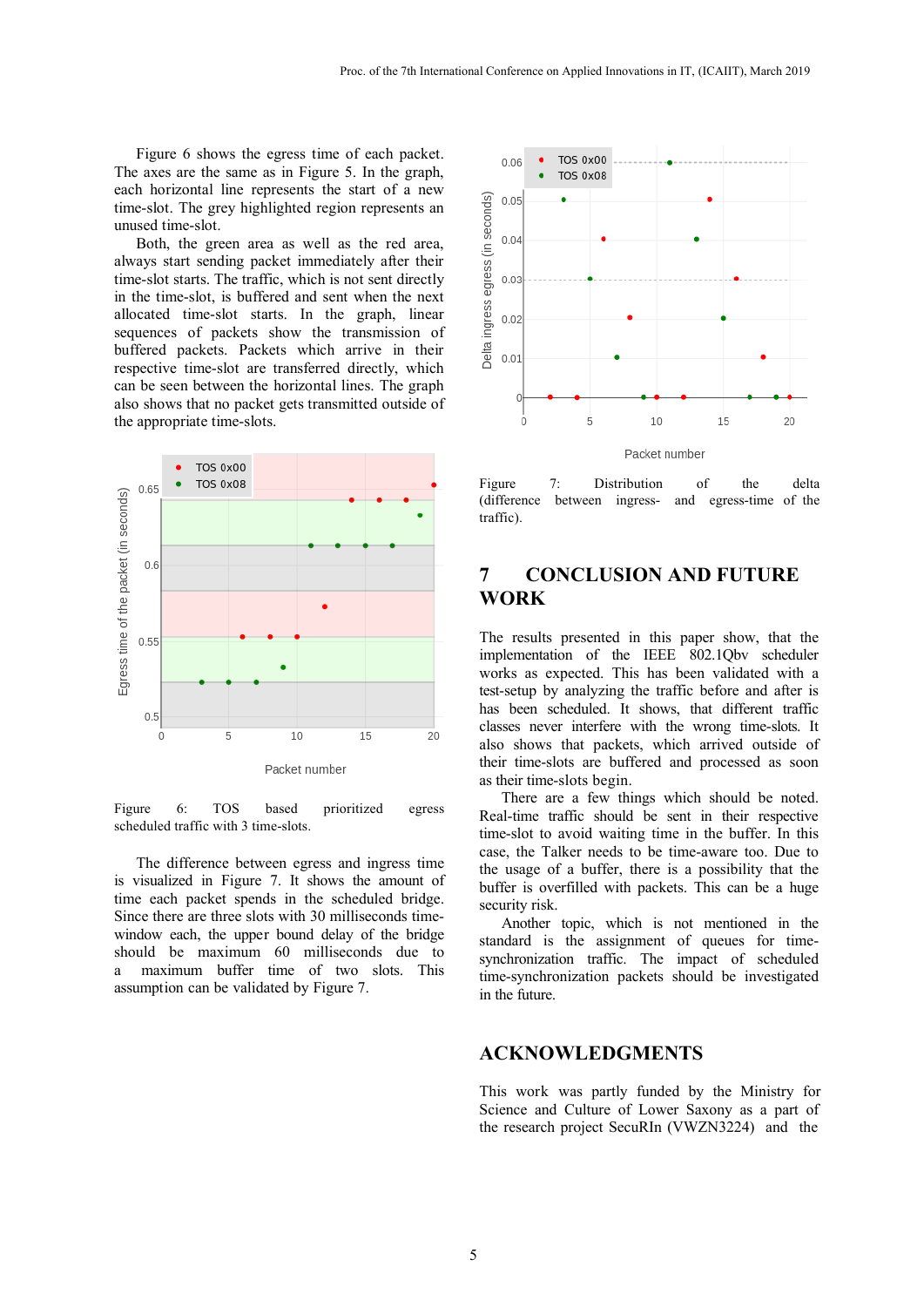Figure 6 shows the egress time of each packet. The axes are the same as in Figure 5. In the graph, each horizontal line represents the start of a new time-slot. The grey highlighted region represents an unused time-slot.

Both, the green area as well as the red area, always start sending packet immediately after their time-slot starts. The traffic, which is not sent directly in the time-slot, is buffered and sent when the next allocated time-slot starts. In the graph, linear sequences of packets show the transmission of buffered packets. Packets which arrive in their respective time-slot are transferred directly, which can be seen between the horizontal lines. The graph also shows that no packet gets transmitted outside of the appropriate time-slots.



Figure 6: TOS based prioritized egress scheduled traffic with 3 time-slots.

The difference between egress and ingress time is visualized in Figure 7. It shows the amount of time each packet spends in the scheduled bridge. Since there are three slots with 30 milliseconds timewindow each, the upper bound delay of the bridge should be maximum 60 milliseconds due to a maximum buffer time of two slots. This assumption can be validated by Figure 7.



Figure 7: Distribution of the delta (difference between ingress- and egress-time of the traffic).

# **7 CONCLUSION AND FUTURE WORK**

The results presented in this paper show, that the implementation of the IEEE 802.1Qbv scheduler works as expected. This has been validated with a test-setup by analyzing the traffic before and after is has been scheduled. It shows, that different traffic classes never interfere with the wrong time-slots. It also shows that packets, which arrived outside of their time-slots are buffered and processed as soon as their time-slots begin.

There are a few things which should be noted. Real-time traffic should be sent in their respective time-slot to avoid waiting time in the buffer. In this case, the Talker needs to be time-aware too. Due to the usage of a buffer, there is a possibility that the buffer is overfilled with packets. This can be a huge security risk.

Another topic, which is not mentioned in the standard is the assignment of queues for timesynchronization traffic. The impact of scheduled time-synchronization packets should be investigated in the future.

#### **ACKNOWLEDGMENTS**

This work was partly funded by the Ministry for Science and Culture of Lower Saxony as a part of the research project SecuRIn (VWZN3224) and the